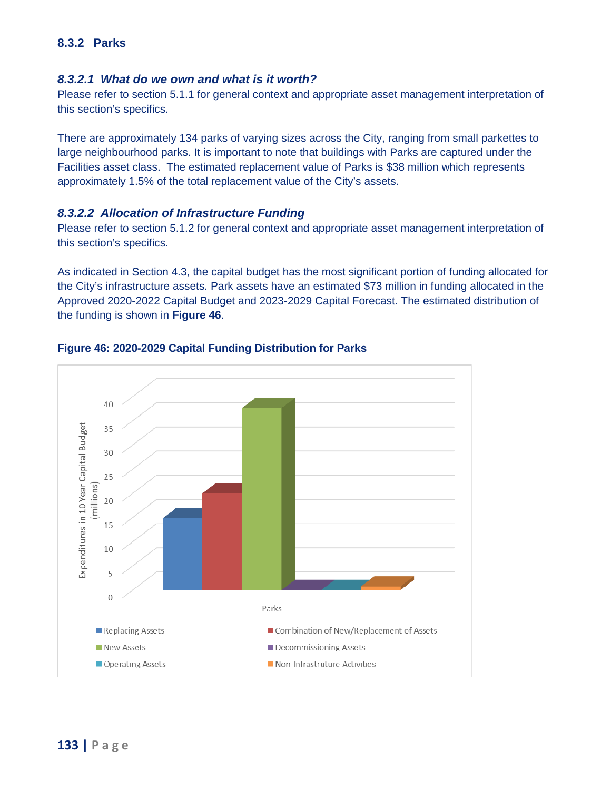# **8.3.2 Parks**

### *8.3.2.1 What do we own and what is it worth?*

 Please refer to section 5.1.1 for general context and appropriate asset management interpretation of this section's specifics.

 There are approximately 134 parks of varying sizes across the City, ranging from small parkettes to Facilities asset class. The estimated replacement value of Parks is \$38 million which represents large neighbourhood parks. It is important to note that buildings with Parks are captured under the approximately 1.5% of the total replacement value of the City's assets.

#### *8.3.2.2 Allocation of Infrastructure Funding*

 Please refer to section 5.1.2 for general context and appropriate asset management interpretation of this section's specifics.

As indicated in Section 4.3, the capital budget has the most significant portion of funding allocated for the City's infrastructure assets. Park assets have an estimated \$73 million in funding allocated in the Approved 2020-2022 Capital Budget and 2023-2029 Capital Forecast. The estimated distribution of the funding is shown in **[Figure 46](#page-0-0)**.



### <span id="page-0-0"></span>**Figure 46: 2020-2029 Capital Funding Distribution for Parks**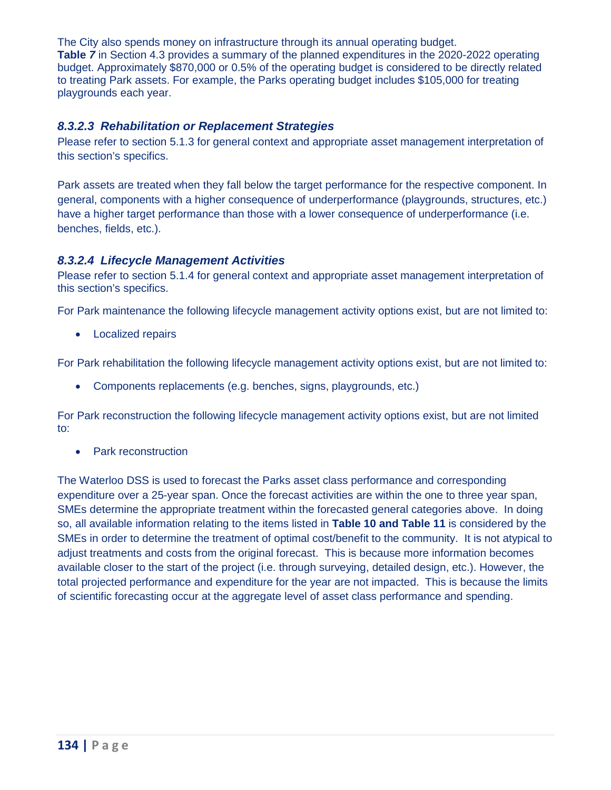The City also spends money on infrastructure through its annual operating budget. **Table** *7* in Section 4.3 provides a summary of the planned expenditures in the 2020-2022 operating budget. Approximately \$870,000 or 0.5% of the operating budget is considered to be directly related to treating Park assets. For example, the Parks operating budget includes \$105,000 for treating playgrounds each year.

## *8.3.2.3 Rehabilitation or Replacement Strategies*

 Please refer to section 5.1.3 for general context and appropriate asset management interpretation of this section's specifics.

Park assets are treated when they fall below the target performance for the respective component. In general, components with a higher consequence of underperformance (playgrounds, structures, etc.) have a higher target performance than those with a lower consequence of underperformance (i.e. benches, fields, etc.).

## *8.3.2.4 Lifecycle Management Activities*

 Please refer to section 5.1.4 for general context and appropriate asset management interpretation of this section's specifics.

For Park maintenance the following lifecycle management activity options exist, but are not limited to:

• Localized repairs

For Park rehabilitation the following lifecycle management activity options exist, but are not limited to:

• Components replacements (e.g. benches, signs, playgrounds, etc.)

For Park reconstruction the following lifecycle management activity options exist, but are not limited to:

• Park reconstruction

 The Waterloo DSS is used to forecast the Parks asset class performance and corresponding expenditure over a 25-year span. Once the forecast activities are within the one to three year span, SMEs determine the appropriate treatment within the forecasted general categories above. In doing so, all available information relating to the items listed in **Table 10 and Table 11** is considered by the SMEs in order to determine the treatment of optimal cost/benefit to the community. It is not atypical to adjust treatments and costs from the original forecast. This is because more information becomes total projected performance and expenditure for the year are not impacted. This is because the limits available closer to the start of the project (i.e. through surveying, detailed design, etc.). However, the of scientific forecasting occur at the aggregate level of asset class performance and spending.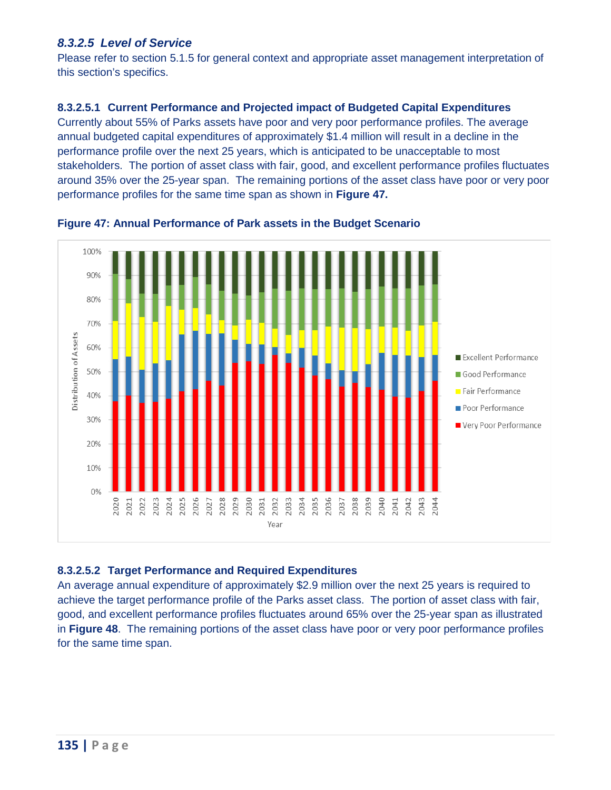# *8.3.2.5 Level of Service*

 Please refer to section 5.1.5 for general context and appropriate asset management interpretation of this section's specifics.

### **8.3.2.5.1 Current Performance and Projected impact of Budgeted Capital Expenditures**

 Currently about 55% of Parks assets have poor and very poor performance profiles. The average performance profile over the next 25 years, which is anticipated to be unacceptable to most stakeholders. The portion of asset class with fair, good, and excellent performance profiles fluctuates around 35% over the 25-year span. The remaining portions of the asset class have poor or very poor annual budgeted capital expenditures of approximately \$1.4 million will result in a decline in the performance profiles for the same time span as shown in **[Figure 47.](#page-2-0)** 



<span id="page-2-0"></span> **Figure 47: Annual Performance of Park assets in the Budget Scenario** 

### **8.3.2.5.2 Target Performance and Required Expenditures**

 achieve the target performance profile of the Parks asset class. The portion of asset class with fair, good, and excellent performance profiles fluctuates around 65% over the 25-year span as illustrated in **[Figure 48](#page-3-0)**. The remaining portions of the asset class have poor or very poor performance profiles for the same time span. An average annual expenditure of approximately \$2.9 million over the next 25 years is required to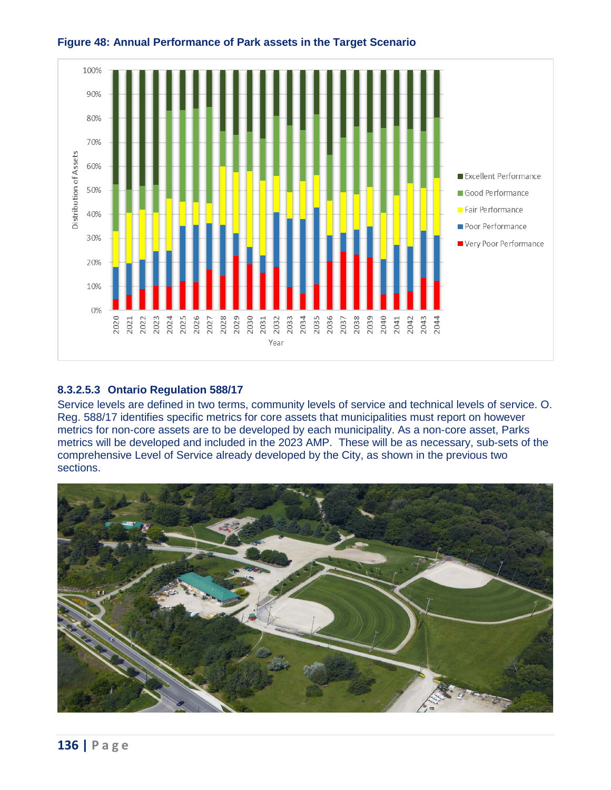

## <span id="page-3-0"></span> **Figure 48: Annual Performance of Park assets in the Target Scenario**

### **8.3.2.5.3 Ontario Regulation 588/17**

 Service levels are defined in two terms, community levels of service and technical levels of service. O. Reg. 588/17 identifies specific metrics for core assets that municipalities must report on however metrics will be developed and included in the 2023 AMP. These will be as necessary, sub-sets of the metrics for non-core assets are to be developed by each municipality. As a non-core asset, Parks comprehensive Level of Service already developed by the City, as shown in the previous two sections.

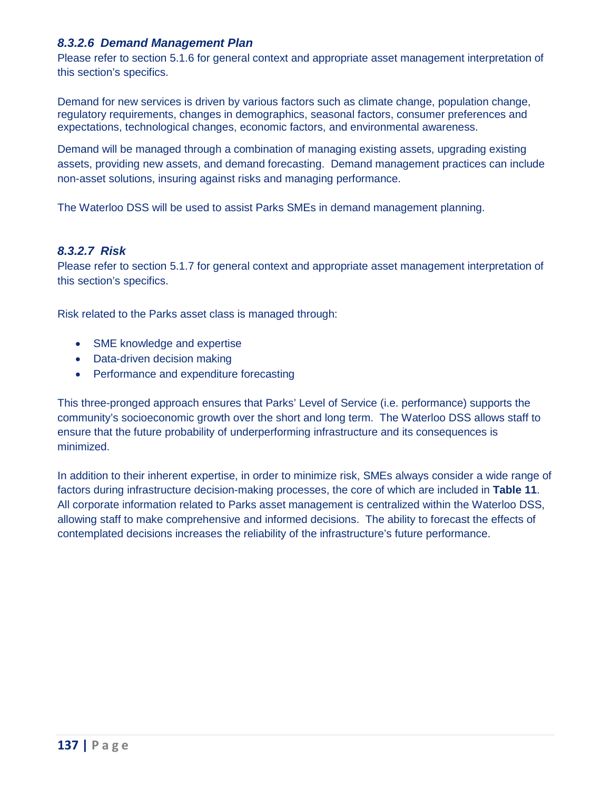## *8.3.2.6 Demand Management Plan*

 Please refer to section 5.1.6 for general context and appropriate asset management interpretation of this section's specifics.

 expectations, technological changes, economic factors, and environmental awareness. Demand for new services is driven by various factors such as climate change, population change, regulatory requirements, changes in demographics, seasonal factors, consumer preferences and

 assets, providing new assets, and demand forecasting. Demand management practices can include Demand will be managed through a combination of managing existing assets, upgrading existing non-asset solutions, insuring against risks and managing performance.

The Waterloo DSS will be used to assist Parks SMEs in demand management planning.

# *8.3.2.7 Risk*

 Please refer to section 5.1.7 for general context and appropriate asset management interpretation of this section's specifics.

Risk related to the Parks asset class is managed through:

- SME knowledge and expertise
- Data-driven decision making
- Performance and expenditure forecasting

 This three-pronged approach ensures that Parks' Level of Service (i.e. performance) supports the community's socioeconomic growth over the short and long term. The Waterloo DSS allows staff to ensure that the future probability of underperforming infrastructure and its consequences is minimized.

 All corporate information related to Parks asset management is centralized within the Waterloo DSS, allowing staff to make comprehensive and informed decisions. The ability to forecast the effects of In addition to their inherent expertise, in order to minimize risk, SMEs always consider a wide range of factors during infrastructure decision-making processes, the core of which are included in **Table 11**. contemplated decisions increases the reliability of the infrastructure's future performance.